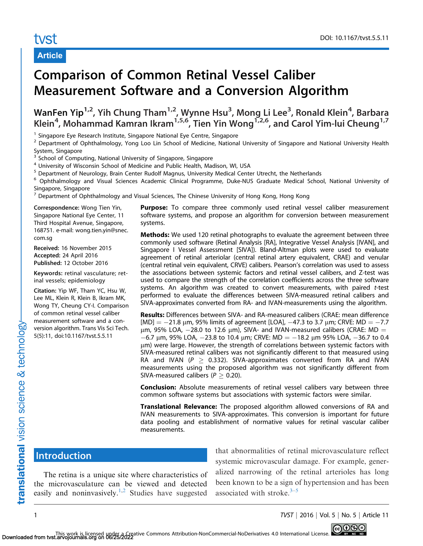# tyst

## Article

# Comparison of Common Retinal Vessel Caliber Measurement Software and a Conversion Algorithm

WanFen Yip<sup>1,2</sup>, Yih Chung Tham<sup>1,2</sup>, Wynne Hsu<sup>3</sup>, Mong Li Lee<sup>3</sup>, Ronald Klein<sup>4</sup>, Barbara Klein<sup>4</sup>, Mohammad Kamran Ikram<sup>1,5,6</sup>, Tien Yin Wong<sup>1,2,6</sup>, and Carol Yim-lui Cheung<sup>1,7</sup>

<sup>1</sup> Singapore Eye Research Institute, Singapore National Eye Centre, Singapore

<sup>2</sup> Department of Ophthalmology, Yong Loo Lin School of Medicine, National University of Singapore and National University Health System, Singapore

<sup>3</sup> School of Computing, National University of Singapore, Singapore

<sup>4</sup> University of Wisconsin School of Medicine and Public Health, Madison, WI, USA

<sup>5</sup> Department of Neurology, Brain Center Rudolf Magnus, University Medical Center Utrecht, the Netherlands

<sup>6</sup> Ophthalmology and Visual Sciences Academic Clinical Programme, Duke-NUS Graduate Medical School, National University of Singapore, Singapore

 $<sup>7</sup>$  Department of Ophthalmology and Visual Sciences, The Chinese University of Hong Kong, Hong Kong</sup>

Correspondence: Wong Tien Yin, Singapore National Eye Center, 11 Third Hospital Avenue, Singapore, 168751. e-mail: wong.tien.yin@snec. com.sg

Received: 16 November 2015 Accepted: 24 April 2016 Published: 12 October 2016

Keywords: retinal vasculature; retinal vessels; epidemiology

Citation: Yip WF, Tham YC, Hsu W, Lee ML, Klein R, Klein B, Ikram MK, Wong TY, Cheung CY-I. Comparison of common retinal vessel caliber measurement software and a conversion algorithm. Trans Vis Sci Tech. 5(5):11, doi:10.1167/tvst.5.5.11

**Purpose:** To compare three commonly used retinal vessel caliber measurement software systems, and propose an algorithm for conversion between measurement systems.

Methods: We used 120 retinal photographs to evaluate the agreement between three commonly used software (Retinal Analysis [RA], Integrative Vessel Analysis [IVAN], and Singapore I Vessel Assessment [SIVA]). Bland-Altman plots were used to evaluate agreement of retinal arteriolar (central retinal artery equivalent, CRAE) and venular (central retinal vein equivalent, CRVE) calibers. Pearson's correlation was used to assess the associations between systemic factors and retinal vessel calibers, and Z-test was used to compare the strength of the correlation coefficients across the three software systems. An algorithm was created to convert measurements, with paired t-test performed to evaluate the differences between SIVA-measured retinal calibers and SIVA-approximates converted from RA- and IVAN-measurements using the algorithm.

Results: Differences between SIVA- and RA-measured calibers (CRAE: mean difference [MD]  $= -21.8$  μm, 95% limits of agreement [LOA],  $-47.3$  to 3.7 μm; CRVE: MD  $= -7.7$  $\mu$ m, 95% LOA,  $-$ 28.0 to 12.6  $\mu$ m), SIVA- and IVAN-measured calibers (CRAE: MD  $=$  $-6.7$  μm, 95% LOA,  $-23.8$  to 10.4 μm; CRVE: MD  $=-18.2$  μm 95% LOA,  $-36.7$  to 0.4 lm) were large. However, the strength of correlations between systemic factors with SIVA-measured retinal calibers was not significantly different to that measured using RA and IVAN ( $P \geq 0.332$ ). SIVA-approximates converted from RA and IVAN measurements using the proposed algorithm was not significantly different from SIVA-measured calibers ( $P \geq 0.20$ ).

**Conclusion:** Absolute measurements of retinal vessel calibers vary between three common software systems but associations with systemic factors were similar.

Translational Relevance: The proposed algorithm allowed conversions of RA and IVAN measurements to SIVA-approximates. This conversion is important for future data pooling and establishment of normative values for retinal vascular caliber measurements.

# **Introduction**

translational vision science & technology

The retina is a unique site where characteristics of the microvasculature can be viewed and detected easily and noninvasively.<sup>1,[2](#page-9-0)</sup> Studies have suggested

that abnormalities of retinal microvasculature reflect systemic microvascular damage. For example, generalized narrowing of the retinal arterioles has long been known to be a sign of hypertension and has been associated with stroke. $3-5$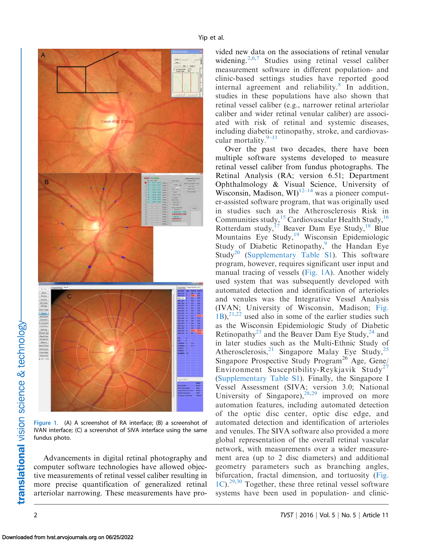<span id="page-1-0"></span>

Figure 1. (A) A screenshot of RA interface; (B) a screenshot of IVAN interface; (C) a screenshot of SIVA interface using the same fundus photo.

Advancements in digital retinal photography and computer software technologies have allowed objective measurements of retinal vessel caliber resulting in more precise quantification of generalized retinal arteriolar narrowing. These measurements have pro-

vided new data on the associations of retinal venular widening.<sup>[2](#page-9-0),[6,7](#page-9-0)</sup> Studies using retinal vessel caliber measurement software in different population- and clinic-based settings studies have reported good internal agreement and reliability.<sup>[8](#page-9-0)</sup> In addition, studies in these populations have also shown that retinal vessel caliber (e.g., narrower retinal arteriolar caliber and wider retinal venular caliber) are associated with risk of retinal and systemic diseases, including diabetic retinopathy, stroke, and cardiovascular mortality. $9-11$ 

Over the past two decades, there have been multiple software systems developed to measure retinal vessel caliber from fundus photographs. The Retinal Analysis (RA; version 6.51; Department Ophthalmology & Visual Science, University of Wisconsin, Madison, WI)<sup>[12–14](#page-9-0)</sup> was a pioneer computer-assisted software program, that was originally used in studies such as the Atherosclerosis Risk in Communities study,<sup>15</sup> Cardiovascular Health Study,<sup>[16](#page-9-0)</sup> Rotterdam study,  $17$  Beaver Dam Eye Study, <sup>[18](#page-9-0)</sup> Blue Mountains Eye Study,<sup>19</sup> Wisconsin Epidemiologic Study of Diabetic Retinopathy,<sup>9</sup> the Handan Eye Study<sup>20</sup> [\(Supplementary Table S1](http://tvst.arvojournals.org/data/Journals/TVST/935706/TVST-15-0311-s02.pdf)). This software program, however, requires significant user input and manual tracing of vessels (Fig. 1A). Another widely used system that was subsequently developed with automated detection and identification of arterioles and venules was the Integrative Vessel Analysis (IVAN; University of Wisconsin, Madison; Fig.  $(1B)$ ,  $^{21,22}$  $^{21,22}$  $^{21,22}$  used also in some of the earlier studies such as the Wisconsin Epidemiologic Study of Diabetic Retinopathy<sup>23</sup> and the Beaver Dam Eye Study,  $^{24}$  $^{24}$  $^{24}$  and in later studies such as the Multi-Ethnic Study of Atherosclerosis,<sup>[21](#page-9-0)</sup> Singapore Malay Eye Study,<sup>[25](#page-9-0)</sup> Singapore Prospective Study Program<sup>26</sup> Age, Gene/ Environment Susceptibility-Reykjavik Study<sup>[27](#page-10-0)</sup> ([Supplementary Table S1](http://tvst.arvojournals.org/data/Journals/TVST/935706/TVST-15-0311-s02.pdf)). Finally, the Singapore I Vessel Assessment (SIVA; version 3.0; National University of Singapore),  $^{28,29}$  $^{28,29}$  $^{28,29}$  improved on more automation features, including automated detection of the optic disc center, optic disc edge, and automated detection and identification of arterioles and venules. The SIVA software also provided a more global representation of the overall retinal vascular network, with measurements over a wider measurement area (up to 2 disc diameters) and additional geometry parameters such as branching angles, bifurcation, fractal dimension, and tortuosity (Fig.  $1C$ ).<sup>[29,30](#page-10-0)</sup> Together, these three retinal vessel software systems have been used in population- and clinic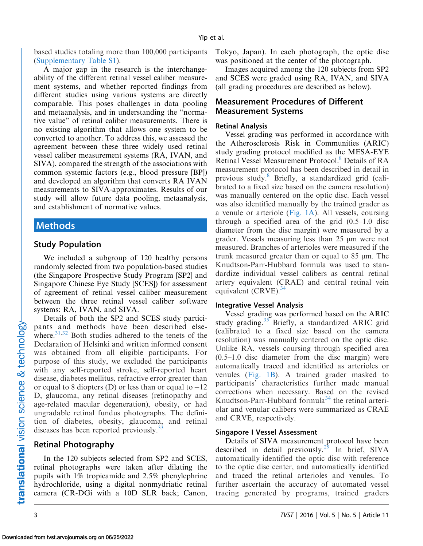based studies totaling more than 100,000 participants ([Supplementary Table S1\)](http://tvst.arvojournals.org/data/Journals/TVST/935706/TVST-15-0311-s02.pdf).

A major gap in the research is the interchangeability of the different retinal vessel caliber measurement systems, and whether reported findings from different studies using various systems are directly comparable. This poses challenges in data pooling and metaanalysis, and in understanding the ''normative value'' of retinal caliber measurements. There is no existing algorithm that allows one system to be converted to another. To address this, we assessed the agreement between these three widely used retinal vessel caliber measurement systems (RA, IVAN, and SIVA), compared the strength of the associations with common systemic factors (e.g., blood pressure [BP]) and developed an algorithm that converts RA IVAN measurements to SIVA-approximates. Results of our study will allow future data pooling, metaanalysis, and establishment of normative values.

## Methods

#### Study Population

We included a subgroup of 120 healthy persons randomly selected from two population-based studies (the Singapore Prospective Study Program [SP2] and Singapore Chinese Eye Study [SCES]) for assessment of agreement of retinal vessel caliber measurement between the three retinal vessel caliber software systems: RA, IVAN, and SIVA.

Details of both the SP2 and SCES study participants and methods have been described elsewhere. $31,32$  Both studies adhered to the tenets of the Declaration of Helsinki and written informed consent was obtained from all eligible participants. For purpose of this study, we excluded the participants with any self-reported stroke, self-reported heart disease, diabetes mellitus, refractive error greater than or equal to 8 diopters (D) or less than or equal to  $-12$ D, glaucoma, any retinal diseases (retinopathy and age-related macular degeneration), obesity, or had ungradable retinal fundus photographs. The definition of diabetes, obesity, glaucoma, and retinal diseases has been reported previously. $33$ 

#### Retinal Photography

In the 120 subjects selected from SP2 and SCES, retinal photographs were taken after dilating the pupils with 1% tropicamide and 2.5% phenylephrine hydrochloride, using a digital nonmydriatic retinal camera (CR-DGi with a 10D SLR back; Canon,

Tokyo, Japan). In each photograph, the optic disc was positioned at the center of the photograph.

Images acquired among the 120 subjects from SP2 and SCES were graded using RA, IVAN, and SIVA (all grading procedures are described as below).

## Measurement Procedures of Different Measurement Systems

#### Retinal Analysis

Vessel grading was performed in accordance with the Atherosclerosis Risk in Communities (ARIC) study grading protocol modified as the MESA-EYE Retinal Vessel Measurement Protocol.<sup>[8](#page-9-0)</sup> Details of RA measurement protocol has been described in detail in previous study.<sup>8</sup> Briefly, a standardized grid (calibrated to a fixed size based on the camera resolution) was manually centered on the optic disc. Each vessel was also identified manually by the trained grader as a venule or arteriole [\(Fig. 1A](#page-1-0)). All vessels, coursing through a specified area of the grid (0.5–1.0 disc diameter from the disc margin) were measured by a grader. Vessels measuring less than 25 µm were not measured. Branches of arterioles were measured if the trunk measured greater than or equal to 85 µm. The Knudtson-Parr-Hubbard formula was used to standardize individual vessel calibers as central retinal artery equivalent (CRAE) and central retinal vein equivalent  $(CRVE)^{34}$  $(CRVE)^{34}$  $(CRVE)^{34}$ 

#### Integrative Vessel Analysis

Vessel grading was performed based on the ARIC study grading.<sup>35</sup> Briefly, a standardized ARIC grid (calibrated to a fixed size based on the camera resolution) was manually centered on the optic disc. Unlike RA, vessels coursing through specified area (0.5–1.0 disc diameter from the disc margin) were automatically traced and identified as arterioles or venules ([Fig. 1B\)](#page-1-0). A trained grader masked to participants' characteristics further made manual corrections when necessary. Based on the revised Knudtson-Parr-Hubbard formula<sup>[34](#page-10-0)</sup> the retinal arteriolar and venular calibers were summarized as CRAE and CRVE, respectively.

#### Singapore I Vessel Assessment

Details of SIVA measurement protocol have been described in detail previously.<sup>[29](#page-10-0)</sup> In brief, SIVA automatically identified the optic disc with reference to the optic disc center, and automatically identified and traced the retinal arterioles and venules. To further ascertain the accuracy of automated vessel tracing generated by programs, trained graders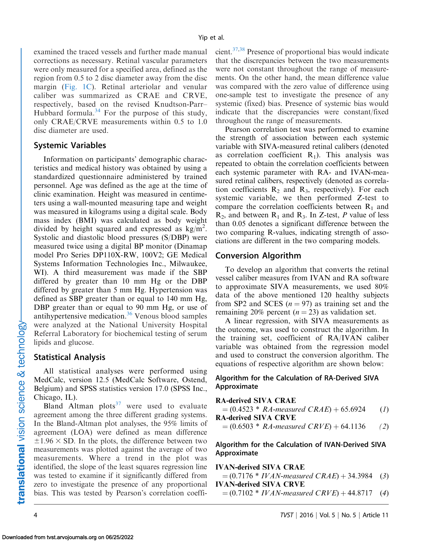examined the traced vessels and further made manual corrections as necessary. Retinal vascular parameters were only measured for a specified area, defined as the region from 0.5 to 2 disc diameter away from the disc margin [\(Fig. 1C\)](#page-1-0). Retinal arteriolar and venular caliber was summarized as CRAE and CRVE, respectively, based on the revised Knudtson-Parr– Hubbard formula. $34$  For the purpose of this study, only CRAE/CRVE measurements within 0.5 to 1.0 disc diameter are used.

### Systemic Variables

Information on participants' demographic characteristics and medical history was obtained by using a standardized questionnaire administered by trained personnel. Age was defined as the age at the time of clinic examination. Height was measured in centimeters using a wall-mounted measuring tape and weight was measured in kilograms using a digital scale. Body mass index (BMI) was calculated as body weight divided by height squared and expressed as  $\text{kg/m}^2$ . Systolic and diastolic blood pressures (S/DBP) were measured twice using a digital BP monitor (Dinamap model Pro Series DP110X-RW, 100V2; GE Medical Systems Information Technologies Inc., Milwaukee, WI). A third measurement was made if the SBP differed by greater than 10 mm Hg or the DBP differed by greater than 5 mm Hg. Hypertension was defined as SBP greater than or equal to 140 mm Hg, DBP greater than or equal to 90 mm Hg, or use of antihypertensive medication.<sup>36</sup> Venous blood samples were analyzed at the National University Hospital Referral Laboratory for biochemical testing of serum lipids and glucose.

## Statistical Analysis

All statistical analyses were performed using MedCalc, version 12.5 (MedCalc Software, Ostend, Belgium) and SPSS statistics version 17.0 (SPSS Inc., Chicago, IL).

Bland Altman plots<sup>[37](#page-10-0)</sup> were used to evaluate agreement among the three different grading systems. In the Bland-Altman plot analyses, the 95% limits of agreement (LOA) were defined as mean difference  $\pm 1.96 \times$  SD. In the plots, the difference between two measurements was plotted against the average of two measurements. Where a trend in the plot was identified, the slope of the least squares regression line was tested to examine if it significantly differed from zero to investigate the presence of any proportional bias. This was tested by Pearson's correlation coefficient[.37](#page-10-0),[38](#page-10-0) Presence of proportional bias would indicate that the discrepancies between the two measurements were not constant throughout the range of measurements. On the other hand, the mean difference value was compared with the zero value of difference using one-sample test to investigate the presence of any systemic (fixed) bias. Presence of systemic bias would indicate that the discrepancies were constant/fixed throughout the range of measurements.

Pearson correlation test was performed to examine the strength of association between each systemic variable with SIVA-measured retinal calibers (denoted as correlation coefficient  $R_1$ ). This analysis was repeated to obtain the correlation coefficients between each systemic parameter with RA- and IVAN-measured retinal calibers, respectively (denoted as correlation coefficients  $R_2$  and  $R_3$ , respectively). For each systemic variable, we then performed Z-test to compare the correlation coefficients between  $R_1$  and  $R_2$ , and between  $R_1$  and  $R_3$ . In Z-test, P value of less than 0.05 denotes a significant difference between the two comparing R-values, indicating strength of associations are different in the two comparing models.

## Conversion Algorithm

To develop an algorithm that converts the retinal vessel caliber measures from IVAN and RA software to approximate SIVA measurements, we used 80% data of the above mentioned 120 healthy subjects from SP2 and SCES  $(n = 97)$  as training set and the remaining 20% percent ( $n = 23$ ) as validation set.

A linear regression, with SIVA measurements as the outcome, was used to construct the algorithm. In the training set, coefficient of RA/IVAN caliber variable was obtained from the regression model and used to construct the conversion algorithm. The equations of respective algorithm are shown below:

### Algorithm for the Calculation of RA-Derived SIVA Approximate

#### RA-derived SIVA CRAE

 $=(0.4523 * RA$ -measured  $CRAE$ ) + 65.6924 (1) RA-derived SIVA CRVE

 $=(0.6503 * RA$ -measured  $CRVE$ ) + 64.1136 (2)

#### Algorithm for the Calculation of IVAN-Derived SIVA Approximate

#### IVAN-derived SIVA CRAE

 $=(0.7176 * IVAN-measured \, CRAE) + 34.3984 \quad (3)$ IVAN-derived SIVA CRVE

 $=(0.7102 * IVAN-measured \, CRVE) + 44.8717 \quad (4)$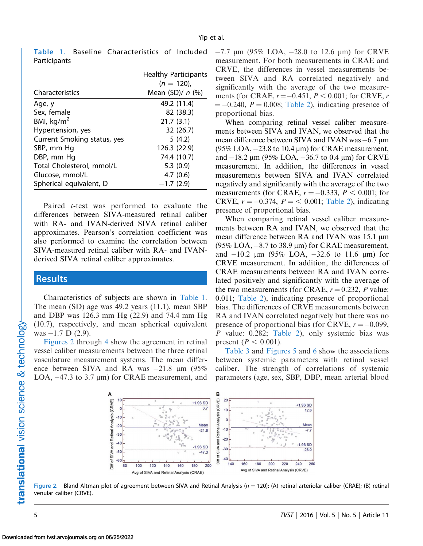| Characteristics             | <b>Healthy Participants</b><br>$(n = 120)$ ,<br>Mean $(SD)/n$ (%) |
|-----------------------------|-------------------------------------------------------------------|
| Age, y                      | 49.2 (11.4)                                                       |
| Sex, female                 | 82 (38.3)                                                         |
| BMI, $kg/m2$                | 21.7(3.1)                                                         |
| Hypertension, yes           | 32 (26.7)                                                         |
| Current Smoking status, yes | 5(4.2)                                                            |
| SBP, mm Hq                  | 126.3 (22.9)                                                      |
| DBP, mm Hq                  | 74.4 (10.7)                                                       |
| Total Cholesterol, mmol/L   | 5.3(0.9)                                                          |
| Glucose, mmol/L             | 4.7(0.6)                                                          |
| Spherical equivalent, D     | $-1.7(2.9)$                                                       |

Table 1. Baseline Characteristics of Included Participants

Paired *t*-test was performed to evaluate the differences between SIVA-measured retinal caliber with RA- and IVAN-derived SIVA retinal caliber approximates. Pearson's correlation coefficient was also performed to examine the correlation between SIVA-measured retinal caliber with RA- and IVANderived SIVA retinal caliber approximates.

## **Results**

Characteristics of subjects are shown in Table 1. The mean (SD) age was 49.2 years (11.1), mean SBP and DBP was 126.3 mm Hg (22.9) and 74.4 mm Hg (10.7), respectively, and mean spherical equivalent was -1.7 D (2.9).

Figures 2 through [4](#page-5-0) show the agreement in retinal vessel caliber measurements between the three retinal vasculature measurement systems. The mean difference between SIVA and RA was  $-21.8 \mu m$  (95%) LOA,  $-47.3$  to 3.7  $\mu$ m) for CRAE measurement, and  $-7.7 \mu m$  (95% LOA,  $-28.0$  to 12.6  $\mu m$ ) for CRVE measurement. For both measurements in CRAE and CRVE, the differences in vessel measurements between SIVA and RA correlated negatively and significantly with the average of the two measurements (for CRAE,  $r$  =  $-0.451, P < 0.001;$  for CRVE,  $r$  $= -0.240$ ,  $P = 0.008$ ; [Table 2](#page-6-0)), indicating presence of proportional bias.

When comparing retinal vessel caliber measurements between SIVA and IVAN, we observed that the mean difference between SIVA and IVAN was $-6.7\,\mu\mathrm{m}$ (95% LOA,  $-23.8$  to 10.4  $\mu$ m) for CRAE measurement, and –18.2 μm (95% LOA, –36.7 to 0.4 μm) for CRVE measurement. In addition, the differences in vessel measurements between SIVA and IVAN correlated negatively and significantly with the average of the two measurements (for CRAE,  $r = -0.333$ ,  $P < 0.001$ ; for CRVE,  $r = -0.374$ ,  $P = < 0.001$ ; [Table 2](#page-6-0)), indicating presence of proportional bias.

When comparing retinal vessel caliber measurements between RA and IVAN, we observed that the mean difference between  $RA$  and IVAN was 15.1  $\mu$ m (95% LOA,  $-8.7$  to 38.9  $\mu$ m) for CRAE measurement, and –10.2 μm (95% LOA, –32.6 to 11.6 μm) for CRVE measurement. In addition, the differences of CRAE measurements between RA and IVAN correlated positively and significantly with the average of the two measurements (for CRAE,  $r = 0.232$ , P value: 0.011; [Table 2\)](#page-6-0), indicating presence of proportional bias. The differences of CRVE measurements between RA and IVAN correlated negatively but there was no presence of proportional bias (for CRVE,  $r = -0.099$ , P value: 0.282; [Table 2\)](#page-6-0), only systemic bias was present ( $P < 0.001$ ).

[Table 3](#page-6-0) and [Figures 5](#page-7-0) and [6](#page-7-0) show the associations between systemic parameters with retinal vessel caliber. The strength of correlations of systemic parameters (age, sex, SBP, DBP, mean arterial blood



Figure 2. Bland Altman plot of agreement between SIVA and Retinal Analysis ( $n = 120$ ): (A) retinal arteriolar caliber (CRAE); (B) retinal venular caliber (CRVE).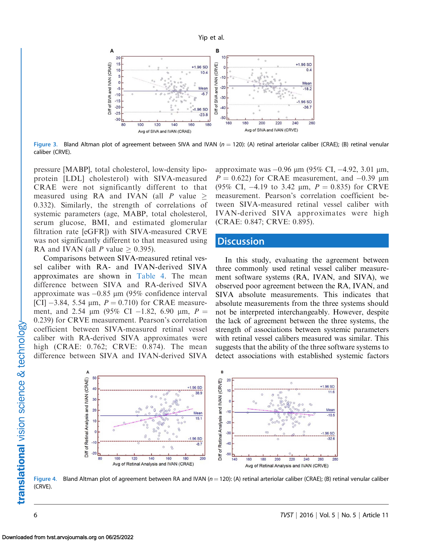<span id="page-5-0"></span>

Figure 3. Bland Altman plot of agreement between SIVA and IVAN  $(n = 120)$ : (A) retinal arteriolar caliber (CRAE); (B) retinal venular caliber (CRVE).

pressure [MABP], total cholesterol, low-density lipoprotein [LDL] cholesterol) with SIVA-measured CRAE were not significantly different to that measured using RA and IVAN (all  $P$  value > 0.332). Similarly, the strength of correlations of systemic parameters (age, MABP, total cholesterol, serum glucose, BMI, and estimated glomerular filtration rate [eGFR]) with SIVA-measured CRVE was not significantly different to that measured using RA and IVAN (all P value  $\geq$  0.395).

Comparisons between SIVA-measured retinal vessel caliber with RA- and IVAN-derived SIVA approximates are shown in [Table 4.](#page-8-0) The mean difference between SIVA and RA-derived SIVA approximate was -0.85 µm (95% confidence interval [CI]  $-3.84$ , 5.54  $\mu$ m,  $P = 0.710$ ) for CRAE measurement, and 2.54  $\mu$ m (95% CI -1.82, 6.90  $\mu$ m, P = 0.239) for CRVE measurement. Pearson's correlation coefficient between SIVA-measured retinal vessel caliber with RA-derived SIVA approximates were high (CRAE: 0.762; CRVE: 0.874). The mean difference between SIVA and IVAN-derived SIVA

approximate was -0.96 μm (95% CI, -4.92, 3.01 μm,  $P = 0.622$ ) for CRAE measurement, and  $-0.39 \mu m$ (95% CI,  $-4.19$  to 3.42  $\mu$ m,  $P = 0.835$ ) for CRVE measurement. Pearson's correlation coefficient between SIVA-measured retinal vessel caliber with IVAN-derived SIVA approximates were high (CRAE: 0.847; CRVE: 0.895).

## **Discussion**

In this study, evaluating the agreement between three commonly used retinal vessel caliber measurement software systems (RA, IVAN, and SIVA), we observed poor agreement between the RA, IVAN, and SIVA absolute measurements. This indicates that absolute measurements from the three systems should not be interpreted interchangeably. However, despite the lack of agreement between the three systems, the strength of associations between systemic parameters with retinal vessel calibers measured was similar. This suggests that the ability of the three software systems to detect associations with established systemic factors



Figure 4. Bland Altman plot of agreement between RA and IVAN ( $n = 120$ ): (A) retinal arteriolar caliber (CRAE); (B) retinal venular caliber (CRVE).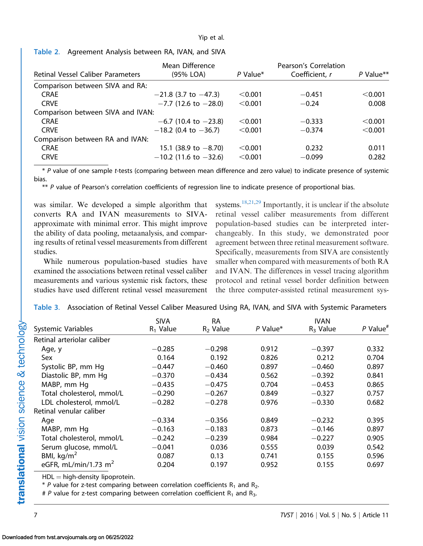<span id="page-6-0"></span>

|  | Table 2. Agreement Analysis between RA, IVAN, and SIVA |  |  |  |  |  |  |
|--|--------------------------------------------------------|--|--|--|--|--|--|
|--|--------------------------------------------------------|--|--|--|--|--|--|

|                                          | Mean Difference            |          | Pearson's Correlation |             |
|------------------------------------------|----------------------------|----------|-----------------------|-------------|
| <b>Retinal Vessel Caliber Parameters</b> | (95% LOA)                  | P Value* | Coefficient, r        | $P$ Value** |
| Comparison between SIVA and RA:          |                            |          |                       |             |
| <b>CRAE</b>                              | $-21.8$ (3.7 to $-47.3$ )  | < 0.001  | $-0.451$              | < 0.001     |
| <b>CRVE</b>                              | $-7.7$ (12.6 to $-28.0$ )  | < 0.001  | $-0.24$               | 0.008       |
| Comparison between SIVA and IVAN:        |                            |          |                       |             |
| <b>CRAE</b>                              | $-6.7$ (10.4 to $-23.8$ )  | < 0.001  | $-0.333$              | < 0.001     |
| <b>CRVE</b>                              | $-18.2$ (0.4 to $-36.7$ )  | < 0.001  | $-0.374$              | < 0.001     |
| Comparison between RA and IVAN:          |                            |          |                       |             |
| <b>CRAE</b>                              | 15.1 (38.9 to $-8.70$ )    | < 0.001  | 0.232                 | 0.011       |
| <b>CRVE</b>                              | $-10.2$ (11.6 to $-32.6$ ) | < 0.001  | $-0.099$              | 0.282       |

\* P value of one sample t-tests (comparing between mean difference and zero value) to indicate presence of systemic bias.

\*\* P value of Pearson's correlation coefficients of regression line to indicate presence of proportional bias.

was similar. We developed a simple algorithm that converts RA and IVAN measurements to SIVAapproximate with minimal error. This might improve the ability of data pooling, metaanalysis, and comparing results of retinal vessel measurements from different studies.

While numerous population-based studies have examined the associations between retinal vessel caliber measurements and various systemic risk factors, these studies have used different retinal vessel measurement systems.<sup>[18,21,](#page-9-0)[29](#page-10-0)</sup> Importantly, it is unclear if the absolute retinal vessel caliber measurements from different population-based studies can be interpreted interchangeably. In this study, we demonstrated poor agreement between three retinal measurement software. Specifically, measurements from SIVA are consistently smaller when compared with measurements of both RA and IVAN. The differences in vessel tracing algorithm protocol and retinal vessel border definition between the three computer-assisted retinal measurement sys-

|                            | <b>SIVA</b> | <b>RA</b>  |            | <b>IVAN</b> |                        |
|----------------------------|-------------|------------|------------|-------------|------------------------|
| Systemic Variables         | $R_1$ Value | $R2$ Value | $P$ Value* | $R_3$ Value | $P$ Value <sup>#</sup> |
| Retinal arteriolar caliber |             |            |            |             |                        |
| Age, y                     | $-0.285$    | $-0.298$   | 0.912      | $-0.397$    | 0.332                  |
| Sex                        | 0.164       | 0.192      | 0.826      | 0.212       | 0.704                  |
| Systolic BP, mm Hg         | $-0.447$    | $-0.460$   | 0.897      | $-0.460$    | 0.897                  |
| Diastolic BP, mm Hg        | $-0.370$    | $-0.434$   | 0.562      | $-0.392$    | 0.841                  |
| MABP, mm Hq                | $-0.435$    | $-0.475$   | 0.704      | $-0.453$    | 0.865                  |
| Total cholesterol, mmol/L  | $-0.290$    | $-0.267$   | 0.849      | $-0.327$    | 0.757                  |
| LDL cholesterol, mmol/L    | $-0.282$    | $-0.278$   | 0.976      | $-0.330$    | 0.682                  |
| Retinal venular caliber    |             |            |            |             |                        |
| Age                        | $-0.334$    | $-0.356$   | 0.849      | $-0.232$    | 0.395                  |
| MABP, mm Hq                | $-0.163$    | $-0.183$   | 0.873      | $-0.146$    | 0.897                  |
| Total cholesterol, mmol/L  | $-0.242$    | $-0.239$   | 0.984      | $-0.227$    | 0.905                  |
| Serum glucose, mmol/L      | $-0.041$    | 0.036      | 0.555      | 0.039       | 0.542                  |
| BMI, $kg/m2$               | 0.087       | 0.13       | 0.741      | 0.155       | 0.596                  |
| eGFR, mL/min/1.73 $m2$     | 0.204       | 0.197      | 0.952      | 0.155       | 0.697                  |

|  |  | Table 3. Association of Retinal Vessel Caliber Measured Using RA, IVAN, and SIVA with Systemic Parameters |  |  |  |
|--|--|-----------------------------------------------------------------------------------------------------------|--|--|--|
|--|--|-----------------------------------------------------------------------------------------------------------|--|--|--|

 $HDL = high-density lipoprotein.$ 

 $*$  P value for z-test comparing between correlation coefficients  $R_1$  and  $R_2$ .

# P value for z-test comparing between correlation coefficient  $R_1$  and  $R_3$ .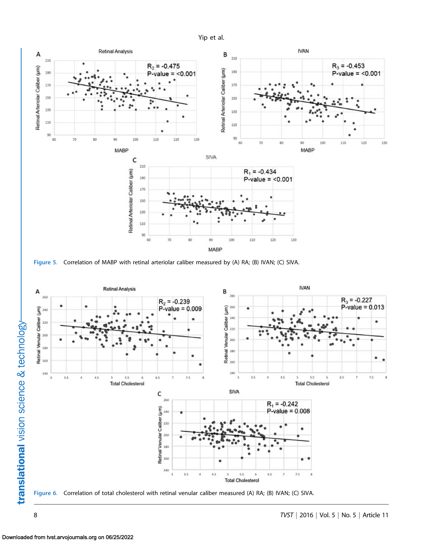<span id="page-7-0"></span>





Figure 6. Correlation of total cholesterol with retinal venular caliber measured (A) RA; (B) IVAN; (C) SIVA.

translational vision science & technology-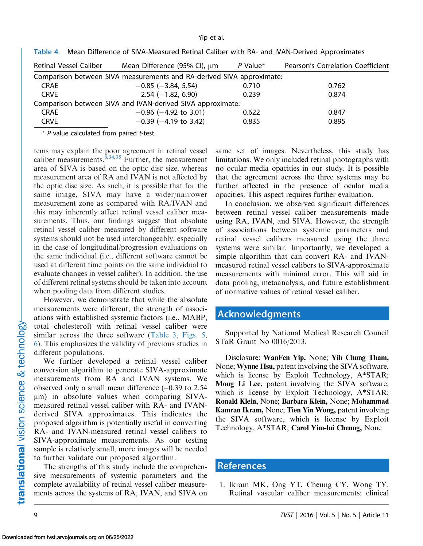| <b>Retinal Vessel Caliber</b> | Mean Difference (95% Cl), μm                                          | $P$ Value* | Pearson's Correlation Coefficient |
|-------------------------------|-----------------------------------------------------------------------|------------|-----------------------------------|
|                               | Comparison between SIVA measurements and RA-derived SIVA approximate: |            |                                   |
| <b>CRAE</b>                   | $-0.85$ ( $-3.84$ , 5.54)                                             | 0.710      | 0.762                             |
| <b>CRVE</b>                   | $2.54 (-1.82, 6.90)$                                                  | 0.239      | 0.874                             |
|                               | Comparison between SIVA and IVAN-derived SIVA approximate:            |            |                                   |
| <b>CRAE</b>                   | $-0.96$ ( $-4.92$ to 3.01)                                            | 0.622      | 0.847                             |
| <b>CRVE</b>                   | $-0.39$ ( $-4.19$ to 3.42)                                            | 0.835      | 0.895                             |
|                               |                                                                       |            |                                   |

<span id="page-8-0"></span>Table 4. Mean Difference of SIVA-Measured Retinal Caliber with RA- and IVAN-Derived Approximates

 $*$  P value calculated from paired  $t$ -test.

tems may explain the poor agreement in retinal vessel caliber measurements.  $\overline{$}^{8,34,35}$  $\overline{$}^{8,34,35}$  $\overline{$}^{8,34,35}$  Further, the measurement area of SIVA is based on the optic disc size, whereas measurement area of RA and IVAN is not affected by the optic disc size. As such, it is possible that for the same image, SIVA may have a wider/narrower measurement zone as compared with RA/IVAN and this may inherently affect retinal vessel caliber measurements. Thus, our findings suggest that absolute retinal vessel caliber measured by different software systems should not be used interchangeably, especially in the case of longitudinal/progression evaluations on the same individual (i.e., different software cannot be used at different time points on the same individual to evaluate changes in vessel caliber). In addition, the use of different retinal systems should be taken into account when pooling data from different studies.

However, we demonstrate that while the absolute measurements were different, the strength of associations with established systemic factors (i.e., MABP, total cholesterol) with retinal vessel caliber were similar across the three software ([Table 3](#page-6-0), [Figs. 5](#page-7-0), [6](#page-7-0)). This emphasizes the validity of previous studies in different populations.

We further developed a retinal vessel caliber conversion algorithm to generate SIVA-approximate measurements from RA and IVAN systems. We observed only a small mean difference  $(-0.39 \text{ to } 2.54)$  $\mu$ m) in absolute values when comparing SIVAmeasured retinal vessel caliber with RA- and IVANderived SIVA approximates. This indicates the proposed algorithm is potentially useful in converting RA- and IVAN-measured retinal vessel calibers to SIVA-approximate measurements. As our testing sample is relatively small, more images will be needed to further validate our proposed algorithm.

The strengths of this study include the comprehensive measurements of systemic parameters and the complete availability of retinal vessel caliber measurements across the systems of RA, IVAN, and SIVA on

same set of images. Nevertheless, this study has limitations. We only included retinal photographs with no ocular media opacities in our study. It is possible that the agreement across the three systems may be further affected in the presence of ocular media opacities. This aspect requires further evaluation.

In conclusion, we observed significant differences between retinal vessel caliber measurements made using RA, IVAN, and SIVA. However, the strength of associations between systemic parameters and retinal vessel calibers measured using the three systems were similar. Importantly, we developed a simple algorithm that can convert RA- and IVANmeasured retinal vessel calibers to SIVA-approximate measurements with minimal error. This will aid in data pooling, metaanalysis, and future establishment of normative values of retinal vessel caliber.

## Acknowledgments

Supported by National Medical Research Council STaR Grant No 0016/2013.

Disclosure: WanFen Yip, None; Yih Chung Tham, None; Wynne Hsu, patent involving the SIVA software, which is license by Exploit Technology, A\*STAR; Mong Li Lee, patent involving the SIVA software, which is license by Exploit Technology, A\*STAR; Ronald Klein, None; Barbara Klein, None; Mohammad Kamran Ikram, None; Tien Yin Wong, patent involving the SIVA software, which is license by Exploit Technology, A\*STAR; Carol Yim-lui Cheung, None

## **References**

1. Ikram MK, Ong YT, Cheung CY, Wong TY. Retinal vascular caliber measurements: clinical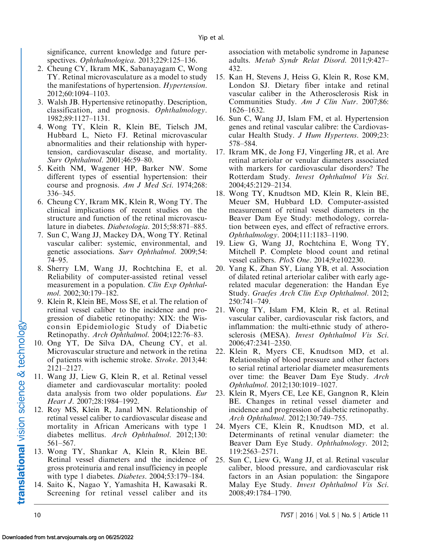<span id="page-9-0"></span>significance, current knowledge and future perspectives. Ophthalmologica. 2013;229:125–136.

- 2. Cheung CY, Ikram MK, Sabanayagam C, Wong TY. Retinal microvasculature as a model to study the manifestations of hypertension. Hypertension. 2012;60:1094–1103.
- 3. Walsh JB. Hypertensive retinopathy. Description, classification, and prognosis. Ophthalmology. 1982;89:1127–1131.
- 4. Wong TY, Klein R, Klein BE, Tielsch JM, Hubbard L, Nieto FJ. Retinal microvascular abnormalities and their relationship with hypertension, cardiovascular disease, and mortality. Surv Ophthalmol. 2001;46:59–80.
- 5. Keith NM, Wagener HP, Barker NW. Some different types of essential hypertension: their course and prognosis. Am J Med Sci. 1974;268: 336–345.
- 6. Cheung CY, Ikram MK, Klein R, Wong TY. The clinical implications of recent studies on the structure and function of the retinal microvasculature in diabetes. Diabetologia. 2015;58:871–885.
- 7. Sun C, Wang JJ, Mackey DA, Wong TY. Retinal vascular caliber: systemic, environmental, and genetic associations. Surv Ophthalmol. 2009;54: 74–95.
- 8. Sherry LM, Wang JJ, Rochtchina E, et al. Reliability of computer-assisted retinal vessel measurement in a population. Clin Exp Ophthalmol. 2002;30:179–182.
- 9. Klein R, Klein BE, Moss SE, et al. The relation of retinal vessel caliber to the incidence and progression of diabetic retinopathy: XIX: the Wisconsin Epidemiologic Study of Diabetic Retinopathy. Arch Ophthalmol. 2004;122:76–83.
- 10. Ong YT, De Silva DA, Cheung CY, et al. Microvascular structure and network in the retina of patients with ischemic stroke. Stroke. 2013;44: 2121–2127.
- 11. Wang JJ, Liew G, Klein R, et al. Retinal vessel diameter and cardiovascular mortality: pooled data analysis from two older populations. Eur Heart J. 2007;28:1984–1992.
- 12. Roy MS, Klein R, Janal MN. Relationship of retinal vessel caliber to cardiovascular disease and mortality in African Americans with type 1 diabetes mellitus. Arch Ophthalmol. 2012;130: 561–567.
- 13. Wong TY, Shankar A, Klein R, Klein BE. Retinal vessel diameters and the incidence of gross proteinuria and renal insufficiency in people with type 1 diabetes. *Diabetes*. 2004;53:179–184.
- 14. Saito K, Nagao Y, Yamashita H, Kawasaki R. Screening for retinal vessel caliber and its

association with metabolic syndrome in Japanese adults. Metab Syndr Relat Disord. 2011;9:427– 432.

- 15. Kan H, Stevens J, Heiss G, Klein R, Rose KM, London SJ. Dietary fiber intake and retinal vascular caliber in the Atherosclerosis Risk in Communities Study. Am J Clin Nutr. 2007;86: 1626–1632.
- 16. Sun C, Wang JJ, Islam FM, et al. Hypertension genes and retinal vascular calibre: the Cardiovascular Health Study. J Hum Hypertens. 2009;23: 578–584.
- 17. Ikram MK, de Jong FJ, Vingerling JR, et al. Are retinal arteriolar or venular diameters associated with markers for cardiovascular disorders? The Rotterdam Study. Invest Ophthalmol Vis Sci. 2004;45:2129–2134.
- 18. Wong TY, Knudtson MD, Klein R, Klein BE, Meuer SM, Hubbard LD. Computer-assisted measurement of retinal vessel diameters in the Beaver Dam Eye Study: methodology, correlation between eyes, and effect of refractive errors. Ophthalmology. 2004;111:1183–1190.
- 19. Liew G, Wang JJ, Rochtchina E, Wong TY, Mitchell P. Complete blood count and retinal vessel calibers. PloS One. 2014;9:e102230.
- 20. Yang K, Zhan SY, Liang YB, et al. Association of dilated retinal arteriolar caliber with early agerelated macular degeneration: the Handan Eye Study. Graefes Arch Clin Exp Ophthalmol. 2012; 250:741–749.
- 21. Wong TY, Islam FM, Klein R, et al. Retinal vascular caliber, cardiovascular risk factors, and inflammation: the multi-ethnic study of atherosclerosis (MESA). Invest Ophthalmol Vis Sci. 2006;47:2341–2350.
- 22. Klein R, Myers CE, Knudtson MD, et al. Relationship of blood pressure and other factors to serial retinal arteriolar diameter measurements over time: the Beaver Dam Eye Study. Arch Ophthalmol. 2012;130:1019–1027.
- 23. Klein R, Myers CE, Lee KE, Gangnon R, Klein BE. Changes in retinal vessel diameter and incidence and progression of diabetic retinopathy. Arch Ophthalmol. 2012;130:749–755.
- 24. Myers CE, Klein R, Knudtson MD, et al. Determinants of retinal venular diameter: the Beaver Dam Eye Study. Ophthalmology. 2012; 119:2563–2571.
- 25. Sun C, Liew G, Wang JJ, et al. Retinal vascular caliber, blood pressure, and cardiovascular risk factors in an Asian population: the Singapore Malay Eye Study. Invest Ophthalmol Vis Sci. 2008;49:1784–1790.